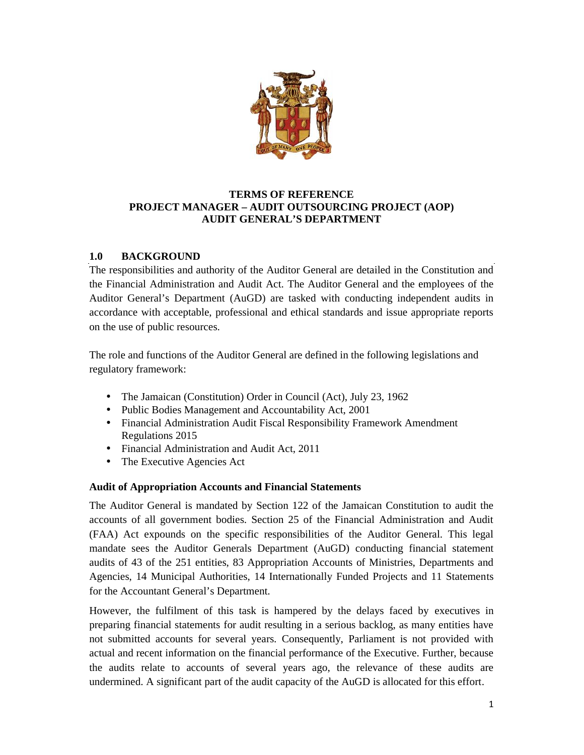

## **TERMS OF REFERENCE PROJECT MANAGER – AUDIT OUTSOURCING PROJECT (AOP) AUDIT GENERAL'S DEPARTMENT**

# **1.0 BACKGROUND**

The responsibilities and authority of the Auditor General are detailed in the Constitution and the Financial Administration and Audit Act. The Auditor General and the employees of the Auditor General's Department (AuGD) are tasked with conducting independent audits in accordance with acceptable, professional and ethical standards and issue appropriate reports on the use of public resources.

The role and functions of the Auditor General are defined in the following legislations and regulatory framework:

- The Jamaican (Constitution) Order in Council (Act), July 23, 1962
- Public Bodies Management and Accountability Act, 2001
- Financial Administration Audit Fiscal Responsibility Framework Amendment Regulations 2015
- Financial Administration and Audit Act, 2011
- The Executive Agencies Act

#### **Audit of Appropriation Accounts and Financial Statements**

The Auditor General is mandated by Section 122 of the Jamaican Constitution to audit the accounts of all government bodies. Section 25 of the Financial Administration and Audit (FAA) Act expounds on the specific responsibilities of the Auditor General. This legal mandate sees the Auditor Generals Department (AuGD) conducting financial statement audits of 43 of the 251 entities, 83 Appropriation Accounts of Ministries, Departments and Agencies, 14 Municipal Authorities, 14 Internationally Funded Projects and 11 Statements for the Accountant General's Department.

However, the fulfilment of this task is hampered by the delays faced by executives in preparing financial statements for audit resulting in a serious backlog, as many entities have not submitted accounts for several years. Consequently, Parliament is not provided with actual and recent information on the financial performance of the Executive. Further, because the audits relate to accounts of several years ago, the relevance of these audits are undermined. A significant part of the audit capacity of the AuGD is allocated for this effort.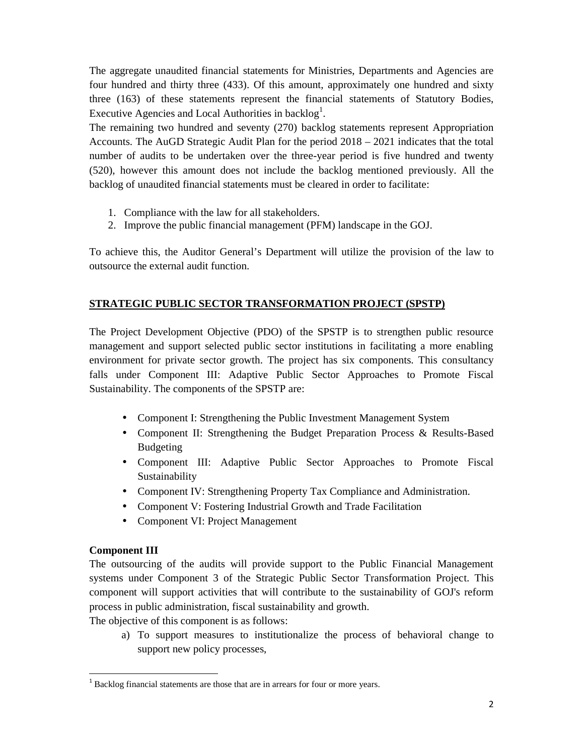The aggregate unaudited financial statements for Ministries, Departments and Agencies are four hundred and thirty three (433). Of this amount, approximately one hundred and sixty three (163) of these statements represent the financial statements of Statutory Bodies, Executive Agencies and Local Authorities in backlog<sup>1</sup>.

The remaining two hundred and seventy (270) backlog statements represent Appropriation Accounts. The AuGD Strategic Audit Plan for the period 2018 – 2021 indicates that the total number of audits to be undertaken over the three-year period is five hundred and twenty (520), however this amount does not include the backlog mentioned previously. All the backlog of unaudited financial statements must be cleared in order to facilitate:

- 1. Compliance with the law for all stakeholders.
- 2. Improve the public financial management (PFM) landscape in the GOJ.

To achieve this, the Auditor General's Department will utilize the provision of the law to outsource the external audit function.

# **STRATEGIC PUBLIC SECTOR TRANSFORMATION PROJECT (SPSTP)**

The Project Development Objective (PDO) of the SPSTP is to strengthen public resource management and support selected public sector institutions in facilitating a more enabling environment for private sector growth. The project has six components. This consultancy falls under Component III: Adaptive Public Sector Approaches to Promote Fiscal Sustainability. The components of the SPSTP are:

- Component I: Strengthening the Public Investment Management System
- Component II: Strengthening the Budget Preparation Process & Results-Based Budgeting
- Component III: Adaptive Public Sector Approaches to Promote Fiscal Sustainability
- Component IV: Strengthening Property Tax Compliance and Administration.
- Component V: Fostering Industrial Growth and Trade Facilitation
- Component VI: Project Management

#### **Component III**

The outsourcing of the audits will provide support to the Public Financial Management systems under Component 3 of the Strategic Public Sector Transformation Project. This component will support activities that will contribute to the sustainability of GOJ's reform process in public administration, fiscal sustainability and growth.

The objective of this component is as follows:

a) To support measures to institutionalize the process of behavioral change to support new policy processes,

 $1$  Backlog financial statements are those that are in arrears for four or more years.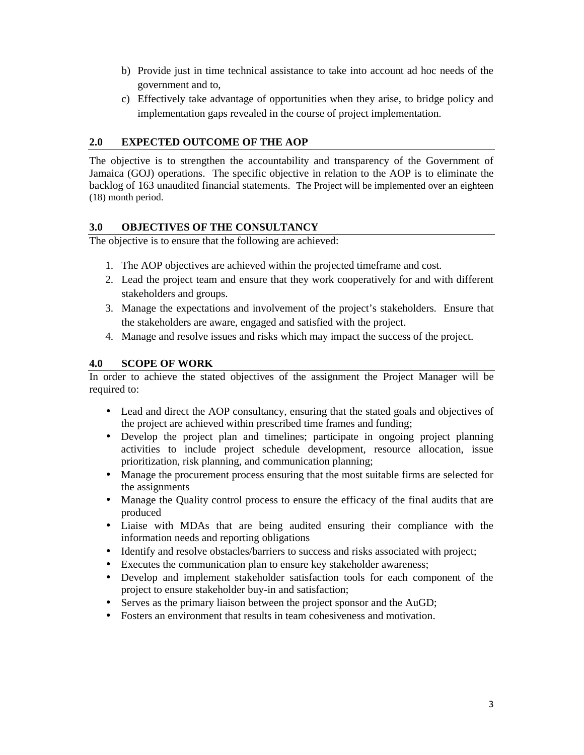- b) Provide just in time technical assistance to take into account ad hoc needs of the government and to,
- c) Effectively take advantage of opportunities when they arise, to bridge policy and implementation gaps revealed in the course of project implementation.

### **2.0 EXPECTED OUTCOME OF THE AOP**

The objective is to strengthen the accountability and transparency of the Government of Jamaica (GOJ) operations. The specific objective in relation to the AOP is to eliminate the backlog of 163 unaudited financial statements. The Project will be implemented over an eighteen (18) month period.

#### **3.0 OBJECTIVES OF THE CONSULTANCY**

The objective is to ensure that the following are achieved:

- 1. The AOP objectives are achieved within the projected timeframe and cost.
- 2. Lead the project team and ensure that they work cooperatively for and with different stakeholders and groups.
- 3. Manage the expectations and involvement of the project's stakeholders. Ensure that the stakeholders are aware, engaged and satisfied with the project.
- 4. Manage and resolve issues and risks which may impact the success of the project.

#### **4.0 SCOPE OF WORK**

In order to achieve the stated objectives of the assignment the Project Manager will be required to:

- Lead and direct the AOP consultancy, ensuring that the stated goals and objectives of the project are achieved within prescribed time frames and funding;
- Develop the project plan and timelines; participate in ongoing project planning activities to include project schedule development, resource allocation, issue prioritization, risk planning, and communication planning;
- Manage the procurement process ensuring that the most suitable firms are selected for the assignments
- Manage the Quality control process to ensure the efficacy of the final audits that are produced
- Liaise with MDAs that are being audited ensuring their compliance with the information needs and reporting obligations
- Identify and resolve obstacles/barriers to success and risks associated with project;
- Executes the communication plan to ensure key stakeholder awareness;
- Develop and implement stakeholder satisfaction tools for each component of the project to ensure stakeholder buy-in and satisfaction;
- Serves as the primary liaison between the project sponsor and the AuGD;
- Fosters an environment that results in team cohesiveness and motivation.